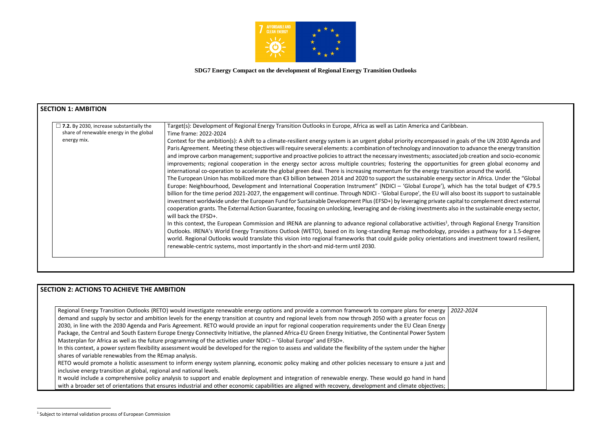

**SDG7 Energy Compact on the development of Regional Energy Transition Outlooks**

| $\Box$ 7.2. By 2030, increase substantially the | Target(s): Development of Regional Energy Transition Outlooks in Europe, Africa as well as Latin America and Caribbean.                           |
|-------------------------------------------------|---------------------------------------------------------------------------------------------------------------------------------------------------|
| share of renewable energy in the global         | Time frame: 2022-2024                                                                                                                             |
| energy mix.                                     | Context for the ambition(s): A shift to a climate-resilient energy system is an urgent global priority encompassed in goal                        |
|                                                 | Paris Agreement. Meeting these objectives will require several elements: a combination of technology and innovation to a                          |
|                                                 | and improve carbon management; supportive and proactive policies to attract the necessary investments; associated job                             |
|                                                 | improvements; regional cooperation in the energy sector across multiple countries; fostering the opportunities for                                |
|                                                 | international co-operation to accelerate the global green deal. There is increasing momentum for the energy transition a                          |
|                                                 | The European Union has mobilized more than $\epsilon$ 3 billion between 2014 and 2020 to support the sustainable energy secto                     |
|                                                 | Europe: Neighbourhood, Development and International Cooperation Instrument" (NDICI - 'Global Europe'), which h                                   |
|                                                 | billion for the time period 2021-2027, the engagement will continue. Through NDICI - 'Global Europe', the EU will also bo                         |
|                                                 | investment worldwide under the European Fund for Sustainable Development Plus (EFSD+) by leveraging private capital to                            |
|                                                 | cooperation grants. The External Action Guarantee, focusing on unlocking, leveraging and de-risking investments also in t<br>will back the EFSD+. |
|                                                 | In this context, the European Commission and IRENA are planning to advance regional collaborative activities <sup>1</sup> , throug                |
|                                                 | Outlooks. IRENA's World Energy Transitions Outlook (WETO), based on its long-standing Remap methodology, provide                                  |
|                                                 | world. Regional Outlooks would translate this vision into regional frameworks that could guide policy orientations and                            |
|                                                 | renewable-centric systems, most importantly in the short-and mid-term until 2030.                                                                 |

## **SECTION 2: ACTIONS TO ACHIEVE THE AMBITION**

Regional Energy Transition Outlooks (RETO) would investigate renewable energy options and provide a common framework to compare plans for energy *2022-2024* demand and supply by sector and ambition levels for the energy transition at country and regional levels from now through 2050 with a greater focus on 2030, in line with the 2030 Agenda and Paris Agreement. RETO would provide an input for regional cooperation requirements under the EU Clean Energy Package, the Central and South Eastern Europe Energy Connectivity Initiative, the planned Africa-EU Green Energy Initiative, the Continental Power System Masterplan for Africa as well as the future programming of the activities under NDICI – 'Global Europe' and EFSD+.

In this context, a power system flexibility assessment would be developed for the region to assess and validate the flexibility of the system under the higher shares of variable renewables from the REmap analysis.

RETO would promote a holistic assessment to inform energy system planning, economic policy making and other policies necessary to ensure a just and inclusive energy transition at global, regional and national levels.

It would include a comprehensive policy analysis to support and enable deployment and integration of renewable energy. These would go hand in hand with a broader set of orientations that ensures industrial and other economic capabilities are aligned with recovery, development and climate objectives;

als of the UN 2030 Agenda and o advance the energy transition ob creation and socio-economic for green global economy and n around the world.

tor in Africa. Under the "Global: has the total budget of  $E$ 79.5 boost its support to sustainable to complement direct external n the sustainable energy sector,

ugh Regional Energy Transition des a pathway for a 1.5-degree d investment toward resilient,

<sup>&</sup>lt;sup>1</sup> Subject to internal validation process of European Commission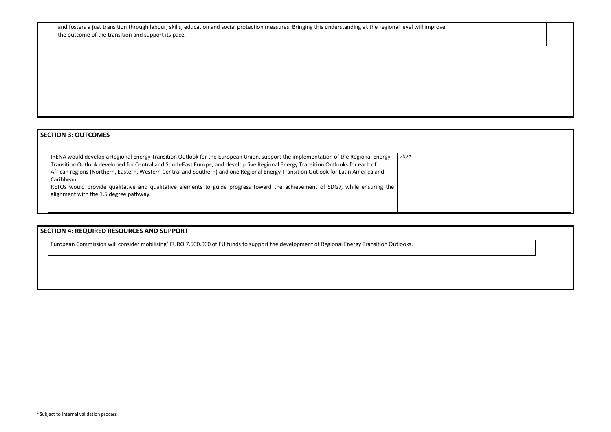and fosters a just transition through labour, skills, education and social protection measures. Bringing this understanding at the regional level will improve  $\vert$ the outcome of the transition and support its pace.

# **SECTION 3: OUTCOMES**

| IRENA would develop a Regional Energy Transition Outlook for the European Union, support the implementation of the Regional Energy | 2024 |
|------------------------------------------------------------------------------------------------------------------------------------|------|
| Transition Outlook developed for Central and South-East Europe, and develop five Regional Energy Transition Outlooks for each of   |      |
| African regions (Northern, Eastern, Western Central and Southern) and one Regional Energy Transition Outlook for Latin America and |      |
| Caribbean.                                                                                                                         |      |
| RETOs would provide qualitative and qualitative elements to guide progress toward the achievement of SDG7, while ensuring the      |      |
| alignment with the 1.5 degree pathway.                                                                                             |      |
|                                                                                                                                    |      |
|                                                                                                                                    |      |

# **SECTION 4: REQUIRED RESOURCES AND SUPPORT**

European Commission will consider mobilising<sup>2</sup> EURO 7.500.000 of EU funds to support the development of Regional Energy Transition Outlooks.

<sup>&</sup>lt;sup>2</sup> Subject to internal validation process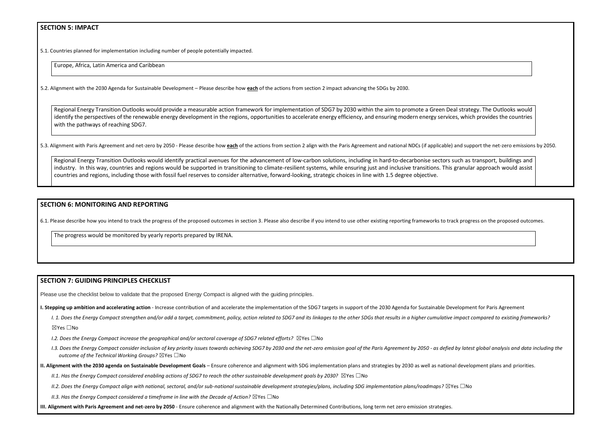## **SECTION 5: IMPACT**

5.1. Countries planned for implementation including number of people potentially impacted.

Europe, Africa, Latin America and Caribbean

5.2. Alignment with the 2030 Agenda for Sustainable Development – Please describe how **each** of the actions from section 2 impact advancing the SDGs by 2030.

Regional Energy Transition Outlooks would provide a measurable action framework for implementation of SDG7 by 2030 within the aim to promote a Green Deal st identify the perspectives of the renewable energy development in the regions, opportunities to accelerate energy efficiency, and ensuring modern energy services, v with the pathways of reaching SDG7.

5.3. Alignment with Paris Agreement and net-zero by 2050 - Please describe how each of the actions from section 2 align with the Paris Agreement and national NDCs (if applicable) and

Regional Energy Transition Outlooks would identify practical avenues for the advancement of low-carbon solutions, including in hard-to-decarbonise sectors such industry. In this way, countries and regions would be supported in transitioning to climate-resilient systems, while ensuring just and inclusive transitions. This gra countries and regions, including those with fossil fuel reserves to consider alternative, forward-looking, strategic choices in line with 1.5 degree objective.

#### **SECTION 6: MONITORING AND REPORTING**

6.1. Please describe how you intend to track the progress of the proposed outcomes in section 3. Please also describe if you intend to use other existing reporting frameworks to track progress on the proposed outcomes.

- *I.2. Does the Energy Compact increase the geographical and/or sectoral coverage of SDG7 related efforts?* ⊠Yes □No
- I.3. Does the Energy Compact consider inclusion of key priority issues towards achieving SDG7 by 2030 and the net-zero emission goal of the Paris Agreement by 2050 as defied by latest global analysis and data including t *outcome of the Technical Working Groups?* ☒Yes ☐No
- **II. Alignment with the 2030 agenda on Sustainable Development Goals** Ensure coherence and alignment with SDG implementation plans and strategies by 2030 as well as national development plans and priorities.
	- *II.1. Has the Energy Compact considered enabling actions of SDG7 to reach the other sustainable development goals by 2030?* ⊠Yes □No
	- *II.2. Does the Energy Compact align with national, sectoral, and/or sub-national sustainable development strategies/plans, including SDG implementation plans/roadmaps?* ☒Yes ☐No

*II.3. Has the Energy Compact considered a timeframe in line with the Decade of Action?* ⊠Yes □No

The progress would be monitored by yearly reports prepared by IRENA.

### **SECTION 7: GUIDING PRINCIPLES CHECKLIST**

Please use the checklist below to validate that the proposed Energy Compact is aligned with the guiding principles.

**I. Stepping up ambition and accelerating action** - Increase contribution of and accelerate the implementation of the SDG7 targets in support of the 2030 Agenda for Sustainable Development for Paris Agreement

I. 1. Does the Energy Compact strengthen and/or add a target, commitment, policy, action related to SDG7 and its linkages to the other SDGs that results in a higher cumulative impact compared to existing frameworks?

☒Yes ☐No

**III. Alignment with Paris Agreement and net-zero by 2050** - Ensure coherence and alignment with the Nationally Determined Contributions, long term net zero emission strategies.

| trategy. The Outlooks would<br>which provides the countries |  |
|-------------------------------------------------------------|--|
| I support the net-zero emissions by 2050.                   |  |
| as transport, buildings and<br>nular approach would assist  |  |
|                                                             |  |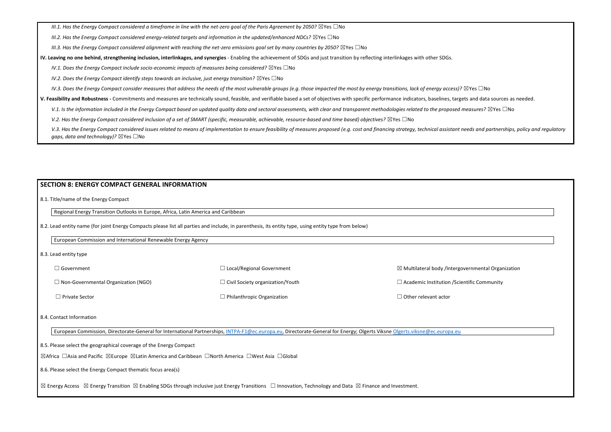*III.1. Has the Energy Compact considered a timeframe in line with the net-zero goal of the Paris Agreement by 2050?* ⊠Yes □No

*III.2. Has the Energy Compact considered energy-related targets and information in the updated/enhanced NDCs?* ⊠Yes □No

*III.3. Has the Energy Compact considered alignment with reaching the net-zero emissions goal set by many countries by 2050?* ⊠Yes □No

**IV. Leaving no one behind, strengthening inclusion, interlinkages, and synergies** - Enabling the achievement of SDGs and just transition by reflecting interlinkages with other SDGs.

*IV.1. Does the Energy Compact include socio-economic impacts of measures being considered?* ⊠Yes □No

*IV.2. Does the Energy Compact identify steps towards an inclusive, just energy transition?* ⊠Yes □No

*IV.3. Does the Energy Compact consider measures that address the needs of the most vulnerable groups (e.g. those impacted the most by energy transitions, lack of energy access)?* ⊠Yes □No

**V. Feasibility and Robustness -** Commitments and measures are technically sound, feasible, and verifiable based a set of objectives with specific performance indicators, baselines, targets and data sources as needed.

V.1. Is the information included in the Energy Compact based on updated quality data and sectoral assessments, with clear and *transparent methodologies related to the proposed measures?* ⊠Yes □No

*V.2. Has the Energy Compact considered inclusion of a set of SMART (specific, measurable, achievable, resource-based and time based) objectives?* ⊠Yes □No

V.3. Has the Energy Compact considered issues related to means of implementation to ensure feasibility of measures proposed (e.g. cost and financing strategy, technical assistant needs and partnerships, policy and regulato *gaps, data and technology)?* ⊠Yes □No

| $\Box$ Government                          | $\Box$ Local/Regional Government        | $\boxtimes$ Multilateral body /Intergovernmental Organization |
|--------------------------------------------|-----------------------------------------|---------------------------------------------------------------|
| $\Box$ Non-Governmental Organization (NGO) | $\Box$ Civil Society organization/Youth | $\Box$ Academic Institution / Scientific Community            |
| $\Box$ Private Sector                      | $\Box$ Philanthropic Organization       | $\Box$ Other relevant actor                                   |

#### **SECTION 8: ENERGY COMPACT GENERAL INFORMATION**

8.1. Title/name of the Energy Compact

Regional Energy Transition Outlooks in Europe, Africa, Latin America and Caribbean

8.2. Lead entity name (for joint Energy Compacts please list all parties and include, in parenthesis, its entity type, using entity type from below)

European Commission and International Renewable Energy Agency

8.3. Lead entity type

#### 8.4. Contact Information

European Commission, Directorate-General for International Partnerships, [INTPA-F1@ec.europa.eu,](mailto:INTPA-F1@ec.europa.eu) Directorate-General for Energy; Olgerts Viksne [Olgerts.viksne@ec.europa.eu](mailto:Olgerts.viksne@ec.europa.eu)

8.5. Please select the geographical coverage of the Energy Compact

☒Africa ☐Asia and Pacific ☒Europe ☒Latin America and Caribbean ☐North America ☐West Asia ☐Global

8.6. Please select the Energy Compact thematic focus area(s)

⊠ Energy Access ⊠ Energy Transition ⊠ Enabling SDGs through inclusive just Energy Transitions □ Innovation, Technology and Data ⊠ Finance and Investment.

| overnmental Organization |  |
|--------------------------|--|
| entific Community        |  |
|                          |  |
|                          |  |
|                          |  |
|                          |  |
|                          |  |
|                          |  |
|                          |  |
|                          |  |